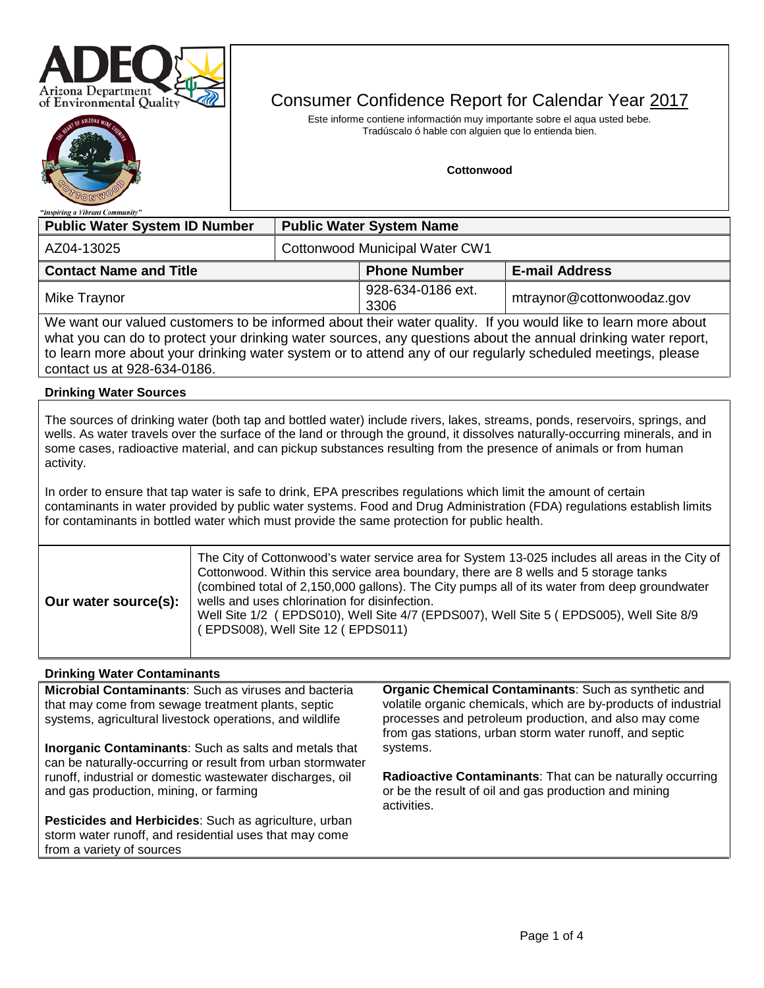



# Consumer Confidence Report for Calendar Year 2017

Este informe contiene informactión muy importante sobre el aqua usted bebe. Tradúscalo ó hable con alguien que lo entienda bien.

#### **Cottonwood**

| "Inspiring a Vibrant Community"                                                                                                                                                                                               |                                 |                           |                           |  |  |  |  |
|-------------------------------------------------------------------------------------------------------------------------------------------------------------------------------------------------------------------------------|---------------------------------|---------------------------|---------------------------|--|--|--|--|
| <b>Public Water System ID Number</b>                                                                                                                                                                                          | <b>Public Water System Name</b> |                           |                           |  |  |  |  |
| AZ04-13025                                                                                                                                                                                                                    | Cottonwood Municipal Water CW1  |                           |                           |  |  |  |  |
| <b>Contact Name and Title</b><br><b>Phone Number</b><br><b>E-mail Address</b>                                                                                                                                                 |                                 |                           |                           |  |  |  |  |
| Mike Traynor                                                                                                                                                                                                                  |                                 | 928-634-0186 ext.<br>3306 | mtraynor@cottonwoodaz.gov |  |  |  |  |
| We want our valued customers to be informed about their water quality. If you would like to learn more about<br>what you can do to protect your drinking water sources, any questions about the annual drinking water report, |                                 |                           |                           |  |  |  |  |

what you can do to protect your drinking water sources, any questions about the annual drinking water report, to learn more about your drinking water system or to attend any of our regularly scheduled meetings, please contact us at 928-634-0186.

#### **Drinking Water Sources**

The sources of drinking water (both tap and bottled water) include rivers, lakes, streams, ponds, reservoirs, springs, and wells. As water travels over the surface of the land or through the ground, it dissolves naturally-occurring minerals, and in some cases, radioactive material, and can pickup substances resulting from the presence of animals or from human activity.

In order to ensure that tap water is safe to drink, EPA prescribes regulations which limit the amount of certain contaminants in water provided by public water systems. Food and Drug Administration (FDA) regulations establish limits for contaminants in bottled water which must provide the same protection for public health.

| Our water source(s): | The City of Cottonwood's water service area for System 13-025 includes all areas in the City of<br>Cottonwood. Within this service area boundary, there are 8 wells and 5 storage tanks<br>(combined total of 2,150,000 gallons). The City pumps all of its water from deep groundwater<br>wells and uses chlorination for disinfection.<br>Well Site 1/2 (EPDS010), Well Site 4/7 (EPDS007), Well Site 5 (EPDS005), Well Site 8/9<br>EPDS008), Well Site 12 (EPDS011) |
|----------------------|------------------------------------------------------------------------------------------------------------------------------------------------------------------------------------------------------------------------------------------------------------------------------------------------------------------------------------------------------------------------------------------------------------------------------------------------------------------------|

#### **Drinking Water Contaminants**

**Microbial Contaminants**: Such as viruses and bacteria that may come from sewage treatment plants, septic systems, agricultural livestock operations, and wildlife

**Inorganic Contaminants**: Such as salts and metals that can be naturally-occurring or result from urban stormwater runoff, industrial or domestic wastewater discharges, oil and gas production, mining, or farming

**Pesticides and Herbicides**: Such as agriculture, urban storm water runoff, and residential uses that may come from a variety of sources

**Organic Chemical Contaminants**: Such as synthetic and volatile organic chemicals, which are by-products of industrial processes and petroleum production, and also may come from gas stations, urban storm water runoff, and septic systems.

**Radioactive Contaminants**: That can be naturally occurring or be the result of oil and gas production and mining activities.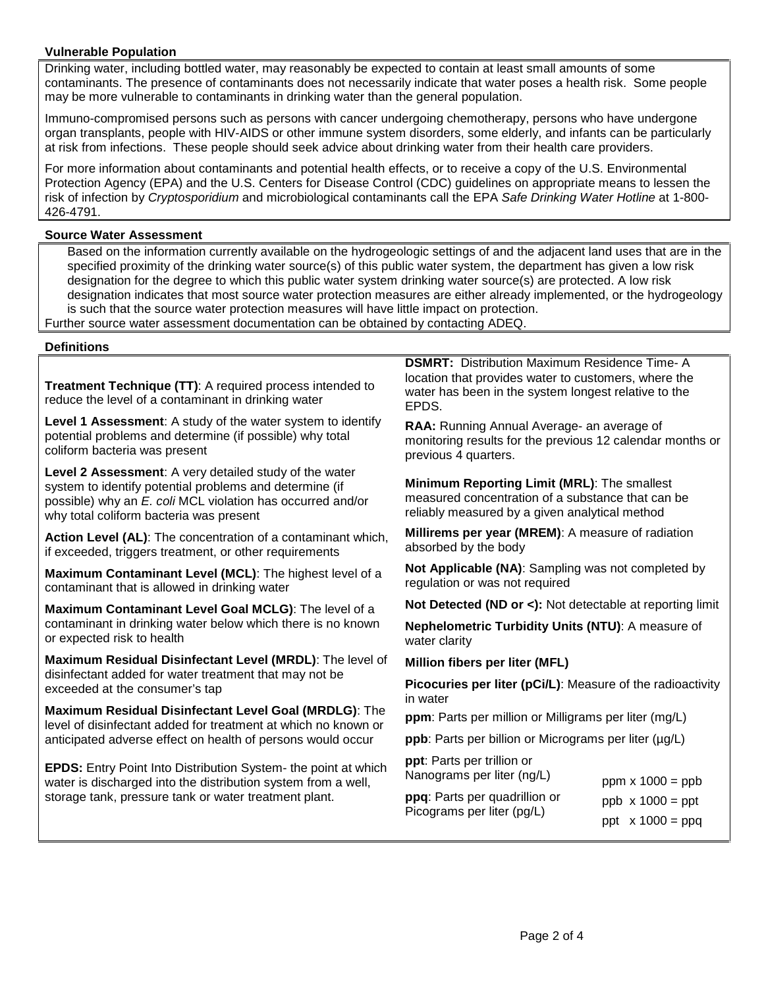#### **Vulnerable Population**

Drinking water, including bottled water, may reasonably be expected to contain at least small amounts of some contaminants. The presence of contaminants does not necessarily indicate that water poses a health risk. Some people may be more vulnerable to contaminants in drinking water than the general population.

Immuno-compromised persons such as persons with cancer undergoing chemotherapy, persons who have undergone organ transplants, people with HIV-AIDS or other immune system disorders, some elderly, and infants can be particularly at risk from infections. These people should seek advice about drinking water from their health care providers.

For more information about contaminants and potential health effects, or to receive a copy of the U.S. Environmental Protection Agency (EPA) and the U.S. Centers for Disease Control (CDC) guidelines on appropriate means to lessen the risk of infection by *Cryptosporidium* and microbiological contaminants call the EPA *Safe Drinking Water Hotline* at 1-800- 426-4791.

#### **Source Water Assessment**

Based on the information currently available on the hydrogeologic settings of and the adjacent land uses that are in the specified proximity of the drinking water source(s) of this public water system, the department has given a low risk designation for the degree to which this public water system drinking water source(s) are protected. A low risk designation indicates that most source water protection measures are either already implemented, or the hydrogeology is such that the source water protection measures will have little impact on protection. Further source water assessment documentation can be obtained by contacting ADEQ.

**Definitions**

**Treatment Technique (TT)**: A required process intended to reduce the level of a contaminant in drinking water

**Level 1 Assessment**: A study of the water system to identify potential problems and determine (if possible) why total coliform bacteria was present

**Level 2 Assessment**: A very detailed study of the water system to identify potential problems and determine (if possible) why an *E. coli* MCL violation has occurred and/or why total coliform bacteria was present

**Action Level (AL)**: The concentration of a contaminant which, if exceeded, triggers treatment, or other requirements

**Maximum Contaminant Level (MCL)**: The highest level of a contaminant that is allowed in drinking water

**Maximum Contaminant Level Goal MCLG)**: The level of a contaminant in drinking water below which there is no known or expected risk to health

**Maximum Residual Disinfectant Level (MRDL)**: The level of disinfectant added for water treatment that may not be exceeded at the consumer's tap

**Maximum Residual Disinfectant Level Goal (MRDLG)**: The level of disinfectant added for treatment at which no known or anticipated adverse effect on health of persons would occur

**EPDS:** Entry Point Into Distribution System- the point at which water is discharged into the distribution system from a well, storage tank, pressure tank or water treatment plant.

**DSMRT:** Distribution Maximum Residence Time- A location that provides water to customers, where the water has been in the system longest relative to the EPDS.

**RAA:** Running Annual Average- an average of monitoring results for the previous 12 calendar months or previous 4 quarters.

**Minimum Reporting Limit (MRL)**: The smallest measured concentration of a substance that can be reliably measured by a given analytical method

**Millirems per year (MREM)**: A measure of radiation absorbed by the body

**Not Applicable (NA)**: Sampling was not completed by regulation or was not required

**Not Detected (ND or <):** Not detectable at reporting limit

**Nephelometric Turbidity Units (NTU)**: A measure of water clarity

**Million fibers per liter (MFL)**

**Picocuries per liter (pCi/L)**: Measure of the radioactivity in water

**ppm**: Parts per million or Milligrams per liter (mg/L)

**ppb**: Parts per billion or Micrograms per liter (µg/L)

**ppt**: Parts per trillion or Nanograms per liter (ng/L)

| Nanograms per liter (ng/L)    | ppm $x 1000 =$ ppb      |
|-------------------------------|-------------------------|
| ppq: Parts per quadrillion or | $ppb \times 1000 = ppt$ |
| Picograms per liter (pg/L)    | ppt $x 1000 = ppq$      |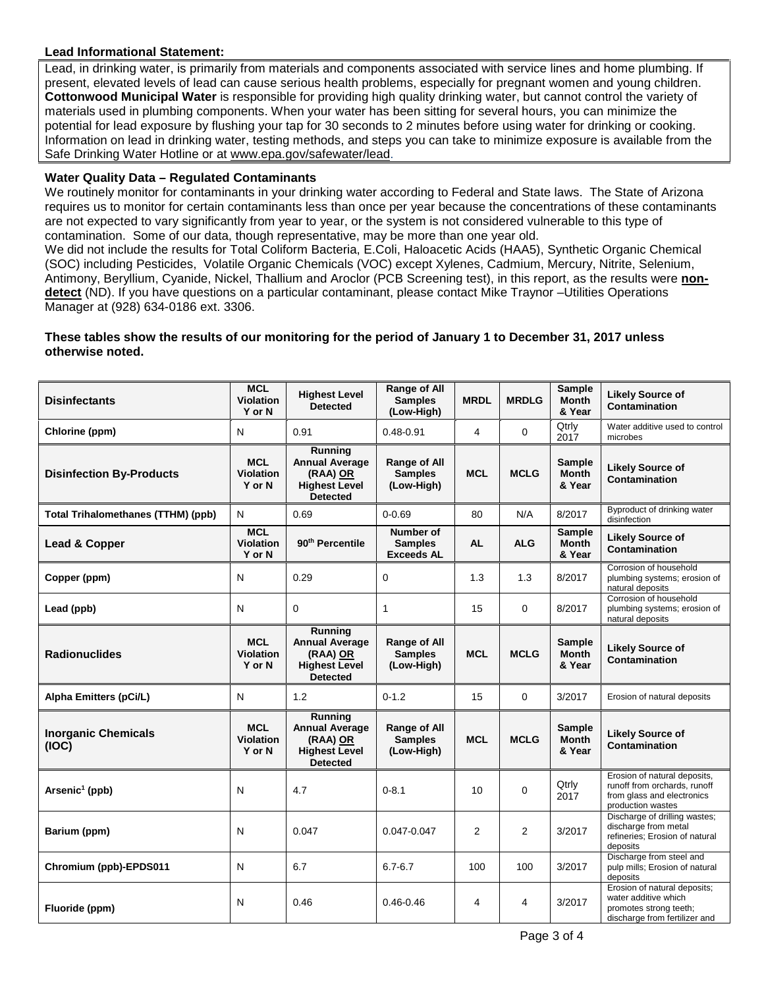#### **Lead Informational Statement:**

Lead, in drinking water, is primarily from materials and components associated with service lines and home plumbing. If present, elevated levels of lead can cause serious health problems, especially for pregnant women and young children. **Cottonwood Municipal Water** is responsible for providing high quality drinking water, but cannot control the variety of materials used in plumbing components. When your water has been sitting for several hours, you can minimize the potential for lead exposure by flushing your tap for 30 seconds to 2 minutes before using water for drinking or cooking. Information on lead in drinking water, testing methods, and steps you can take to minimize exposure is available from the Safe Drinking Water Hotline or at [www.epa.gov/safewater/lead.](http://www.epa.gov/safewater/lead)

#### **Water Quality Data – Regulated Contaminants**

We routinely monitor for contaminants in your drinking water according to Federal and State laws. The State of Arizona requires us to monitor for certain contaminants less than once per year because the concentrations of these contaminants are not expected to vary significantly from year to year, or the system is not considered vulnerable to this type of contamination. Some of our data, though representative, may be more than one year old.

We did not include the results for Total Coliform Bacteria, E.Coli, Haloacetic Acids (HAA5), Synthetic Organic Chemical (SOC) including Pesticides, Volatile Organic Chemicals (VOC) except Xylenes, Cadmium, Mercury, Nitrite, Selenium, Antimony, Beryllium, Cyanide, Nickel, Thallium and Aroclor (PCB Screening test), in this report, as the results were **nondetect** (ND). If you have questions on a particular contaminant, please contact Mike Traynor –Utilities Operations Manager at (928) 634-0186 ext. 3306.

#### **These tables show the results of our monitoring for the period of January 1 to December 31, 2017 unless otherwise noted.**

| <b>Disinfectants</b>                      | <b>MCL</b><br><b>Violation</b><br>Y or N | <b>Highest Level</b><br><b>Detected</b>                                                        | <b>Range of All</b><br><b>Samples</b><br>(Low-High) | <b>MRDL</b>    | <b>MRDLG</b>   | Sample<br><b>Month</b><br>& Year        | <b>Likely Source of</b><br>Contamination                                                                        |
|-------------------------------------------|------------------------------------------|------------------------------------------------------------------------------------------------|-----------------------------------------------------|----------------|----------------|-----------------------------------------|-----------------------------------------------------------------------------------------------------------------|
| Chlorine (ppm)                            | N                                        | 0.91                                                                                           | $0.48 - 0.91$                                       | 4              | $\Omega$       | Qtrly<br>2017                           | Water additive used to control<br>microbes                                                                      |
| <b>Disinfection By-Products</b>           | <b>MCL</b><br><b>Violation</b><br>Y or N | <b>Running</b><br><b>Annual Average</b><br>(RAA) OR<br><b>Highest Level</b><br><b>Detected</b> | <b>Range of All</b><br><b>Samples</b><br>(Low-High) | <b>MCL</b>     | <b>MCLG</b>    | Sample<br><b>Month</b><br>& Year        | <b>Likely Source of</b><br>Contamination                                                                        |
| <b>Total Trihalomethanes (TTHM) (ppb)</b> | N                                        | 0.69                                                                                           | $0 - 0.69$                                          | 80             | N/A            | 8/2017                                  | Byproduct of drinking water<br>disinfection                                                                     |
| Lead & Copper                             | <b>MCL</b><br><b>Violation</b><br>Y or N | 90 <sup>th</sup> Percentile                                                                    | Number of<br><b>Samples</b><br><b>Exceeds AL</b>    | <b>AL</b>      | <b>ALG</b>     | <b>Sample</b><br><b>Month</b><br>& Year | <b>Likely Source of</b><br><b>Contamination</b>                                                                 |
| Copper (ppm)                              | N                                        | 0.29                                                                                           | 0                                                   | 1.3            | 1.3            | 8/2017                                  | Corrosion of household<br>plumbing systems; erosion of<br>natural deposits                                      |
| Lead (ppb)                                | N                                        | $\Omega$                                                                                       | 1                                                   | 15             | $\Omega$       | 8/2017                                  | Corrosion of household<br>plumbing systems; erosion of<br>natural deposits                                      |
| <b>Radionuclides</b>                      | <b>MCL</b><br><b>Violation</b><br>Y or N | Running<br><b>Annual Average</b><br>(RAA) OR<br><b>Highest Level</b><br><b>Detected</b>        | <b>Range of All</b><br><b>Samples</b><br>(Low-High) | <b>MCL</b>     | <b>MCLG</b>    | <b>Sample</b><br><b>Month</b><br>& Year | <b>Likely Source of</b><br>Contamination                                                                        |
| Alpha Emitters (pCi/L)                    | N                                        | 1.2                                                                                            | $0 - 1.2$                                           | 15             | $\Omega$       | 3/2017                                  | Erosion of natural deposits                                                                                     |
| <b>Inorganic Chemicals</b><br>(IOC)       | <b>MCL</b><br><b>Violation</b><br>Y or N | <b>Running</b><br><b>Annual Average</b><br>(RAA) OR<br><b>Highest Level</b><br><b>Detected</b> | Range of All<br><b>Samples</b><br>(Low-High)        | <b>MCL</b>     | <b>MCLG</b>    | Sample<br><b>Month</b><br>& Year        | <b>Likely Source of</b><br>Contamination                                                                        |
| Arsenic <sup>1</sup> (ppb)                | N                                        | 4.7                                                                                            | $0 - 8.1$                                           | 10             | $\Omega$       | Qtrly<br>2017                           | Erosion of natural deposits,<br>runoff from orchards, runoff<br>from glass and electronics<br>production wastes |
| Barium (ppm)                              | N                                        | 0.047                                                                                          | 0.047-0.047                                         | $\overline{2}$ | $\overline{2}$ | 3/2017                                  | Discharge of drilling wastes;<br>discharge from metal<br>refineries; Erosion of natural<br>deposits             |
| Chromium (ppb)-EPDS011                    | N                                        | 6.7                                                                                            | $6.7 - 6.7$                                         | 100            | 100            | 3/2017                                  | Discharge from steel and<br>pulp mills; Erosion of natural<br>deposits                                          |
| Fluoride (ppm)                            | N                                        | 0.46                                                                                           | $0.46 - 0.46$                                       | 4              | 4              | 3/2017                                  | Erosion of natural deposits;<br>water additive which<br>promotes strong teeth;<br>discharge from fertilizer and |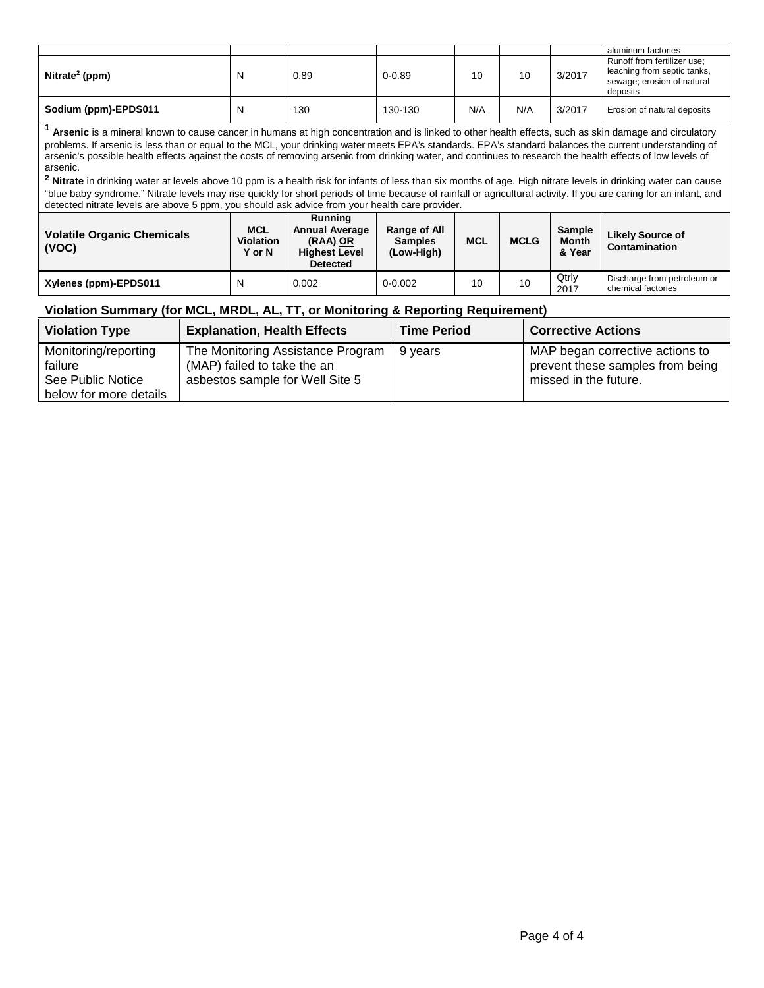|                            |   |      |            |     |     |        | aluminum factories                                                                                   |
|----------------------------|---|------|------------|-----|-----|--------|------------------------------------------------------------------------------------------------------|
| Nitrate <sup>2</sup> (ppm) | N | 0.89 | $0 - 0.89$ | 10  | 10  | 3/2017 | Runoff from fertilizer use:<br>leaching from septic tanks,<br>sewage; erosion of natural<br>deposits |
| Sodium (ppm)-EPDS011       | N | 130  | 130-130    | N/A | N/A | 3/2017 | Erosion of natural deposits                                                                          |

**<sup>1</sup> Arsenic** is a mineral known to cause cancer in humans at high concentration and is linked to other health effects, such as skin damage and circulatory problems. If arsenic is less than or equal to the MCL, your drinking water meets EPA's standards. EPA's standard balances the current understanding of arsenic's possible health effects against the costs of removing arsenic from drinking water, and continues to research the health effects of low levels of arsenic.

<sup>2</sup> Nitrate in drinking water at levels above 10 ppm is a health risk for infants of less than six months of age. High nitrate levels in drinking water can cause "blue baby syndrome." Nitrate levels may rise quickly for short periods of time because of rainfall or agricultural activity. If you are caring for an infant, and detected nitrate levels are above 5 ppm, you should ask advice from your health care provider.

| <b>Volatile Organic Chemicals</b><br>(VOC) | <b>MCL</b><br><b>Violation</b><br>Y or N | Running<br><b>Annual Average</b><br>(RAA) OR<br><b>Highest Level</b><br><b>Detected</b> | <b>Range of All</b><br><b>Samples</b><br>(Low-High) | <b>MCL</b> | <b>MCLG</b> | <b>Sample</b><br><b>Month</b><br>& Year | Likely Source of<br>Contamination                 |
|--------------------------------------------|------------------------------------------|-----------------------------------------------------------------------------------------|-----------------------------------------------------|------------|-------------|-----------------------------------------|---------------------------------------------------|
| Xylenes (ppm)-EPDS011                      | N                                        | 0.002                                                                                   | $0 - 0.002$                                         | 10         | 10          | Qtrly<br>2017                           | Discharge from petroleum or<br>chemical factories |

### **Violation Summary (for MCL, MRDL, AL, TT, or Monitoring & Reporting Requirement)**

| <b>Violation Type</b>                                                          | <b>Explanation, Health Effects</b>                                                                  | <b>Time Period</b> | <b>Corrective Actions</b>                                                                    |
|--------------------------------------------------------------------------------|-----------------------------------------------------------------------------------------------------|--------------------|----------------------------------------------------------------------------------------------|
| Monitoring/reporting<br>failure<br>See Public Notice<br>below for more details | The Monitoring Assistance Program<br>(MAP) failed to take the an<br>asbestos sample for Well Site 5 | 9 years            | MAP began corrective actions to<br>prevent these samples from being<br>missed in the future. |